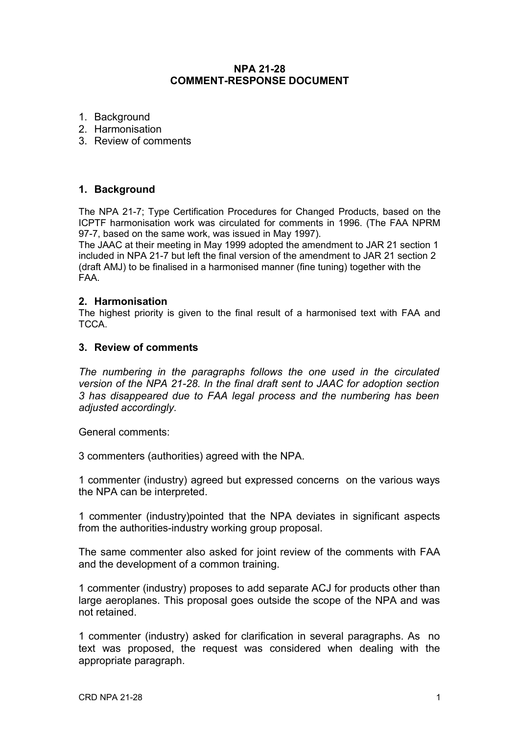# **NPA 21-28 COMMENT-RESPONSE DOCUMENT**

- 1. Background
- 2. Harmonisation
- 3. Review of comments

# **1. Background**

The NPA 21-7; Type Certification Procedures for Changed Products, based on the ICPTF harmonisation work was circulated for comments in 1996. (The FAA NPRM 97-7, based on the same work, was issued in May 1997).

The JAAC at their meeting in May 1999 adopted the amendment to JAR 21 section 1 included in NPA 21-7 but left the final version of the amendment to JAR 21 section 2 (draft AMJ) to be finalised in a harmonised manner (fine tuning) together with the FAA.

### **2. Harmonisation**

The highest priority is given to the final result of a harmonised text with FAA and TCCA.

### **3. Review of comments**

*The numbering in the paragraphs follows the one used in the circulated version of the NPA 21-28. In the final draft sent to JAAC for adoption section 3 has disappeared due to FAA legal process and the numbering has been adjusted accordingly.*

General comments:

3 commenters (authorities) agreed with the NPA.

1 commenter (industry) agreed but expressed concerns on the various ways the NPA can be interpreted.

1 commenter (industry)pointed that the NPA deviates in significant aspects from the authorities-industry working group proposal.

The same commenter also asked for joint review of the comments with FAA and the development of a common training.

1 commenter (industry) proposes to add separate ACJ for products other than large aeroplanes. This proposal goes outside the scope of the NPA and was not retained.

1 commenter (industry) asked for clarification in several paragraphs. As no text was proposed, the request was considered when dealing with the appropriate paragraph.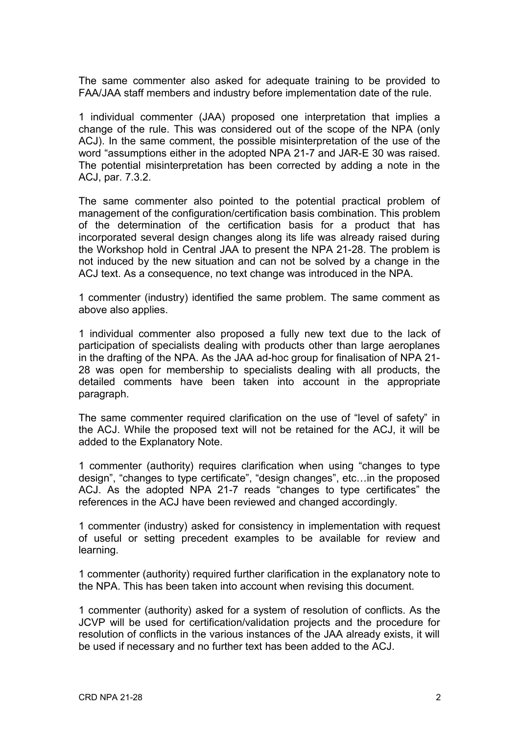The same commenter also asked for adequate training to be provided to FAA/JAA staff members and industry before implementation date of the rule.

1 individual commenter (JAA) proposed one interpretation that implies a change of the rule. This was considered out of the scope of the NPA (only ACJ). In the same comment, the possible misinterpretation of the use of the word "assumptions either in the adopted NPA 21-7 and JAR-E 30 was raised. The potential misinterpretation has been corrected by adding a note in the ACJ, par. 7.3.2.

The same commenter also pointed to the potential practical problem of management of the configuration/certification basis combination. This problem of the determination of the certification basis for a product that has incorporated several design changes along its life was already raised during the Workshop hold in Central JAA to present the NPA 21-28. The problem is not induced by the new situation and can not be solved by a change in the ACJ text. As a consequence, no text change was introduced in the NPA.

1 commenter (industry) identified the same problem. The same comment as above also applies.

1 individual commenter also proposed a fully new text due to the lack of participation of specialists dealing with products other than large aeroplanes in the drafting of the NPA. As the JAA ad-hoc group for finalisation of NPA 21- 28 was open for membership to specialists dealing with all products, the detailed comments have been taken into account in the appropriate paragraph.

The same commenter required clarification on the use of "level of safety" in the ACJ. While the proposed text will not be retained for the ACJ, it will be added to the Explanatory Note.

1 commenter (authority) requires clarification when using "changes to type design", "changes to type certificate", "design changes", etc…in the proposed ACJ. As the adopted NPA 21-7 reads "changes to type certificates" the references in the ACJ have been reviewed and changed accordingly.

1 commenter (industry) asked for consistency in implementation with request of useful or setting precedent examples to be available for review and learning.

1 commenter (authority) required further clarification in the explanatory note to the NPA. This has been taken into account when revising this document.

1 commenter (authority) asked for a system of resolution of conflicts. As the JCVP will be used for certification/validation projects and the procedure for resolution of conflicts in the various instances of the JAA already exists, it will be used if necessary and no further text has been added to the ACJ.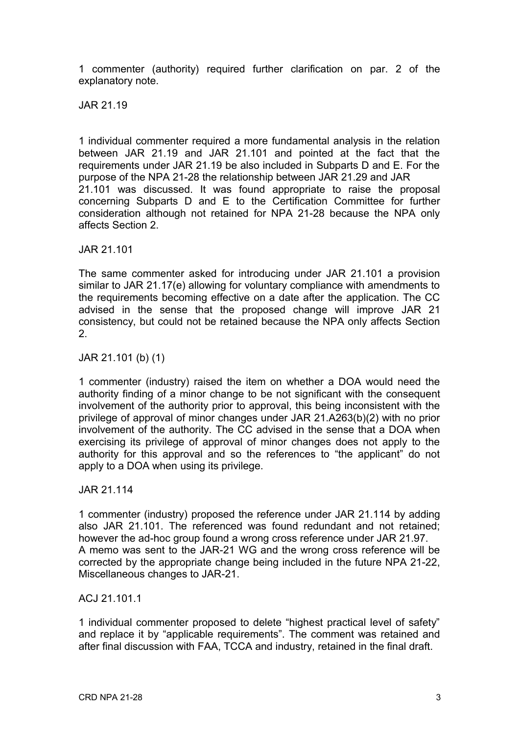1 commenter (authority) required further clarification on par. 2 of the explanatory note.

JAR 21.19

1 individual commenter required a more fundamental analysis in the relation between JAR 21.19 and JAR 21.101 and pointed at the fact that the requirements under JAR 21.19 be also included in Subparts D and E. For the purpose of the NPA 21-28 the relationship between JAR 21.29 and JAR 21.101 was discussed. It was found appropriate to raise the proposal concerning Subparts D and E to the Certification Committee for further consideration although not retained for NPA 21-28 because the NPA only affects Section 2.

JAR 21.101

The same commenter asked for introducing under JAR 21.101 a provision similar to JAR 21.17(e) allowing for voluntary compliance with amendments to the requirements becoming effective on a date after the application. The CC advised in the sense that the proposed change will improve JAR 21 consistency, but could not be retained because the NPA only affects Section 2.

JAR 21.101 (b) (1)

1 commenter (industry) raised the item on whether a DOA would need the authority finding of a minor change to be not significant with the consequent involvement of the authority prior to approval, this being inconsistent with the privilege of approval of minor changes under JAR 21.A263(b)(2) with no prior involvement of the authority. The CC advised in the sense that a DOA when exercising its privilege of approval of minor changes does not apply to the authority for this approval and so the references to "the applicant" do not apply to a DOA when using its privilege.

JAR 21.114

1 commenter (industry) proposed the reference under JAR 21.114 by adding also JAR 21.101. The referenced was found redundant and not retained; however the ad-hoc group found a wrong cross reference under JAR 21.97. A memo was sent to the JAR-21 WG and the wrong cross reference will be corrected by the appropriate change being included in the future NPA 21-22, Miscellaneous changes to JAR-21.

ACJ 21.101.1

1 individual commenter proposed to delete "highest practical level of safety" and replace it by "applicable requirements". The comment was retained and after final discussion with FAA, TCCA and industry, retained in the final draft.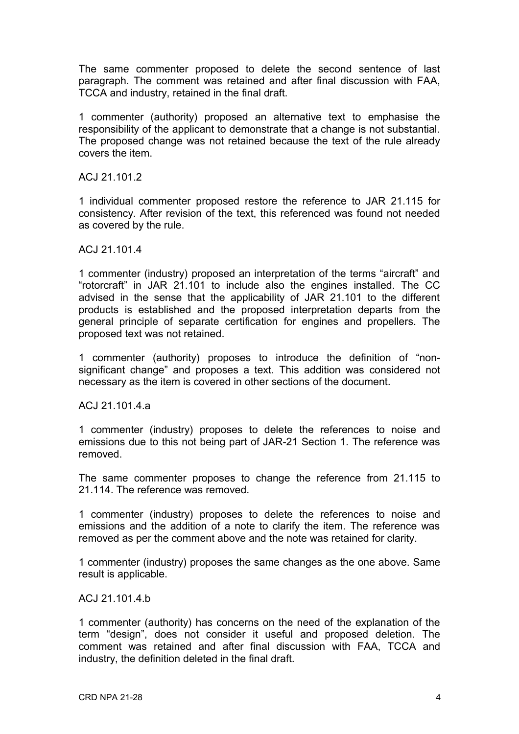The same commenter proposed to delete the second sentence of last paragraph. The comment was retained and after final discussion with FAA, TCCA and industry, retained in the final draft.

1 commenter (authority) proposed an alternative text to emphasise the responsibility of the applicant to demonstrate that a change is not substantial. The proposed change was not retained because the text of the rule already covers the item.

ACJ 21.101.2

1 individual commenter proposed restore the reference to JAR 21.115 for consistency. After revision of the text, this referenced was found not needed as covered by the rule.

ACJ 21.101.4

1 commenter (industry) proposed an interpretation of the terms "aircraft" and "rotorcraft" in JAR 21.101 to include also the engines installed. The CC advised in the sense that the applicability of JAR 21.101 to the different products is established and the proposed interpretation departs from the general principle of separate certification for engines and propellers. The proposed text was not retained.

1 commenter (authority) proposes to introduce the definition of "nonsignificant change" and proposes a text. This addition was considered not necessary as the item is covered in other sections of the document.

ACJ 21.101.4.a

1 commenter (industry) proposes to delete the references to noise and emissions due to this not being part of JAR-21 Section 1. The reference was removed.

The same commenter proposes to change the reference from 21.115 to 21.114. The reference was removed.

1 commenter (industry) proposes to delete the references to noise and emissions and the addition of a note to clarify the item. The reference was removed as per the comment above and the note was retained for clarity.

1 commenter (industry) proposes the same changes as the one above. Same result is applicable.

ACJ 21.101.4.b

1 commenter (authority) has concerns on the need of the explanation of the term "design", does not consider it useful and proposed deletion. The comment was retained and after final discussion with FAA, TCCA and industry, the definition deleted in the final draft.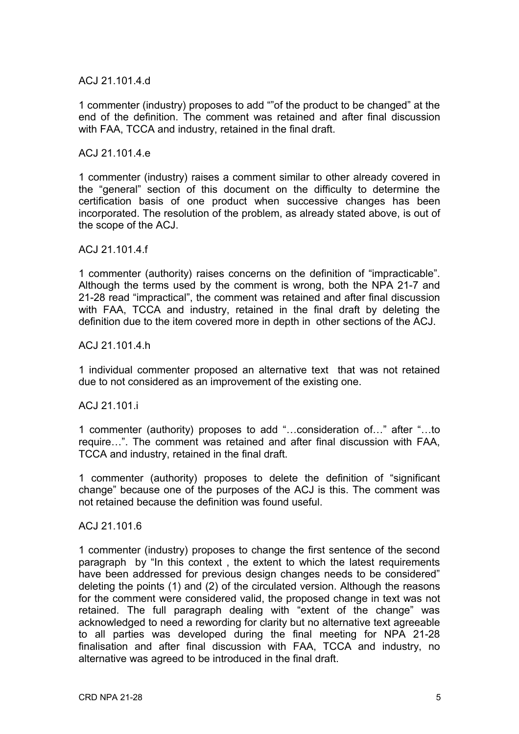# ACJ 21.101.4.d

1 commenter (industry) proposes to add ""of the product to be changed" at the end of the definition. The comment was retained and after final discussion with FAA, TCCA and industry, retained in the final draft.

#### ACJ 21.101.4.e

1 commenter (industry) raises a comment similar to other already covered in the "general" section of this document on the difficulty to determine the certification basis of one product when successive changes has been incorporated. The resolution of the problem, as already stated above, is out of the scope of the ACJ.

#### ACJ 21.101.4.f

1 commenter (authority) raises concerns on the definition of "impracticable". Although the terms used by the comment is wrong, both the NPA 21-7 and 21-28 read "impractical", the comment was retained and after final discussion with FAA, TCCA and industry, retained in the final draft by deleting the definition due to the item covered more in depth in other sections of the ACJ.

### AC.I 21.101.4 h

1 individual commenter proposed an alternative text that was not retained due to not considered as an improvement of the existing one.

# ACJ 21.101.i

1 commenter (authority) proposes to add "…consideration of…" after "…to require…". The comment was retained and after final discussion with FAA, TCCA and industry, retained in the final draft.

1 commenter (authority) proposes to delete the definition of "significant change" because one of the purposes of the ACJ is this. The comment was not retained because the definition was found useful.

#### ACJ 21.101.6

1 commenter (industry) proposes to change the first sentence of the second paragraph by "In this context , the extent to which the latest requirements have been addressed for previous design changes needs to be considered" deleting the points (1) and (2) of the circulated version. Although the reasons for the comment were considered valid, the proposed change in text was not retained. The full paragraph dealing with "extent of the change" was acknowledged to need a rewording for clarity but no alternative text agreeable to all parties was developed during the final meeting for NPA 21-28 finalisation and after final discussion with FAA, TCCA and industry, no alternative was agreed to be introduced in the final draft.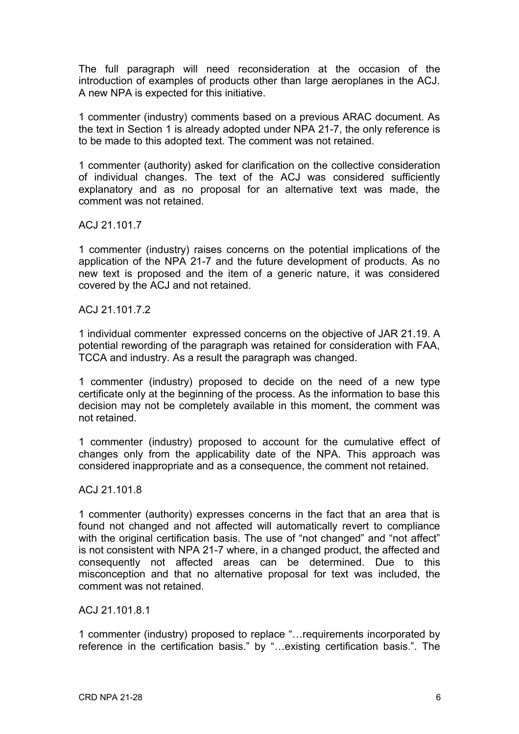The full paragraph will need reconsideration at the occasion of the introduction of examples of products other than large aeroplanes in the ACJ. A new NPA is expected for this initiative.

1 commenter (industry) comments based on a previous ARAC document. As the text in Section 1 is already adopted under NPA 21-7, the only reference is to be made to this adopted text. The comment was not retained.

1 commenter (authority) asked for clarification on the collective consideration of individual changes. The text of the ACJ was considered sufficiently explanatory and as no proposal for an alternative text was made, the comment was not retained.

ACJ 21.101.7

1 commenter (industry) raises concerns on the potential implications of the application of the NPA 21-7 and the future development of products. As no new text is proposed and the item of a generic nature, it was considered covered by the ACJ and not retained.

ACJ 21.101.7.2

1 individual commenter expressed concerns on the objective of JAR 21.19. A potential rewording of the paragraph was retained for consideration with FAA, TCCA and industry. As a result the paragraph was changed.

1 commenter (industry) proposed to decide on the need of a new type certificate only at the beginning of the process. As the information to base this decision may not be completely available in this moment, the comment was not retained.

1 commenter (industry) proposed to account for the cumulative effect of changes only from the applicability date of the NPA. This approach was considered inappropriate and as a consequence, the comment not retained.

# ACJ 21.101.8

1 commenter (authority) expresses concerns in the fact that an area that is found not changed and not affected will automatically revert to compliance with the original certification basis. The use of "not changed" and "not affect" is not consistent with NPA 21-7 where, in a changed product, the affected and consequently not affected areas can be determined. Due to this misconception and that no alternative proposal for text was included, the comment was not retained.

ACJ 21.101.8.1

1 commenter (industry) proposed to replace "…requirements incorporated by reference in the certification basis." by "…existing certification basis.". The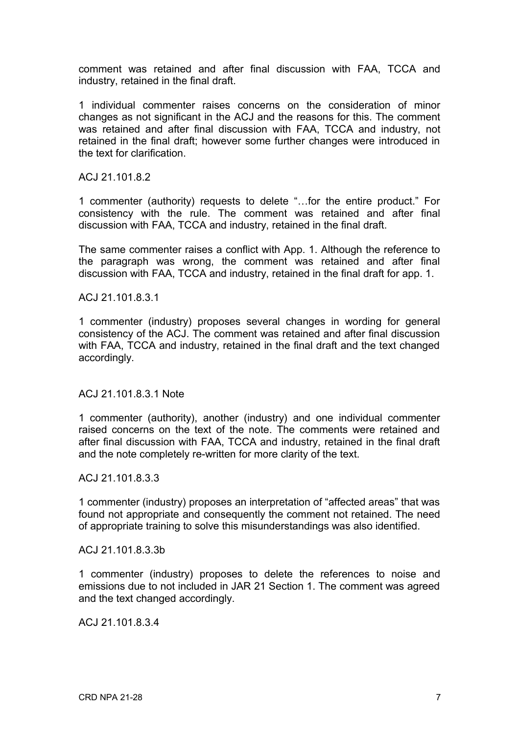comment was retained and after final discussion with FAA, TCCA and industry, retained in the final draft.

1 individual commenter raises concerns on the consideration of minor changes as not significant in the ACJ and the reasons for this. The comment was retained and after final discussion with FAA, TCCA and industry, not retained in the final draft; however some further changes were introduced in the text for clarification.

ACJ 21.101.8.2

1 commenter (authority) requests to delete "…for the entire product." For consistency with the rule. The comment was retained and after final discussion with FAA, TCCA and industry, retained in the final draft.

The same commenter raises a conflict with App. 1. Although the reference to the paragraph was wrong, the comment was retained and after final discussion with FAA, TCCA and industry, retained in the final draft for app. 1.

ACJ 21.101.8.3.1

1 commenter (industry) proposes several changes in wording for general consistency of the ACJ. The comment was retained and after final discussion with FAA, TCCA and industry, retained in the final draft and the text changed accordingly.

ACJ 21.101.8.3.1 Note

1 commenter (authority), another (industry) and one individual commenter raised concerns on the text of the note. The comments were retained and after final discussion with FAA, TCCA and industry, retained in the final draft and the note completely re-written for more clarity of the text.

ACJ 21.101.8.3.3

1 commenter (industry) proposes an interpretation of "affected areas" that was found not appropriate and consequently the comment not retained. The need of appropriate training to solve this misunderstandings was also identified.

ACJ 21.101.8.3.3b

1 commenter (industry) proposes to delete the references to noise and emissions due to not included in JAR 21 Section 1. The comment was agreed and the text changed accordingly.

ACJ 21.101.8.3.4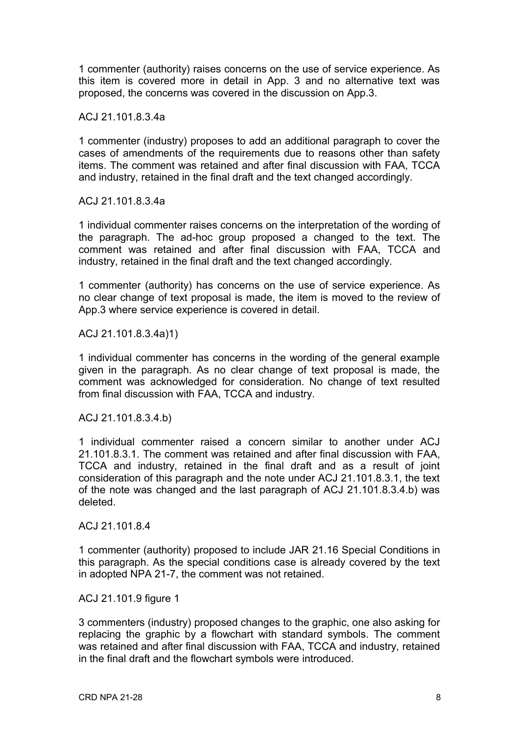1 commenter (authority) raises concerns on the use of service experience. As this item is covered more in detail in App. 3 and no alternative text was proposed, the concerns was covered in the discussion on App.3.

ACJ 21.101.8.3.4a

1 commenter (industry) proposes to add an additional paragraph to cover the cases of amendments of the requirements due to reasons other than safety items. The comment was retained and after final discussion with FAA, TCCA and industry, retained in the final draft and the text changed accordingly.

ACJ 21.101.8.3.4a

1 individual commenter raises concerns on the interpretation of the wording of the paragraph. The ad-hoc group proposed a changed to the text. The comment was retained and after final discussion with FAA, TCCA and industry, retained in the final draft and the text changed accordingly.

1 commenter (authority) has concerns on the use of service experience. As no clear change of text proposal is made, the item is moved to the review of App.3 where service experience is covered in detail.

ACJ 21.101.8.3.4a)1)

1 individual commenter has concerns in the wording of the general example given in the paragraph. As no clear change of text proposal is made, the comment was acknowledged for consideration. No change of text resulted from final discussion with FAA, TCCA and industry.

ACJ 21.101.8.3.4.b)

1 individual commenter raised a concern similar to another under ACJ 21.101.8.3.1. The comment was retained and after final discussion with FAA, TCCA and industry, retained in the final draft and as a result of joint consideration of this paragraph and the note under ACJ 21.101.8.3.1, the text of the note was changed and the last paragraph of ACJ 21.101.8.3.4.b) was deleted.

ACJ 21.101.8.4

1 commenter (authority) proposed to include JAR 21.16 Special Conditions in this paragraph. As the special conditions case is already covered by the text in adopted NPA 21-7, the comment was not retained.

ACJ 21.101.9 figure 1

3 commenters (industry) proposed changes to the graphic, one also asking for replacing the graphic by a flowchart with standard symbols. The comment was retained and after final discussion with FAA, TCCA and industry, retained in the final draft and the flowchart symbols were introduced.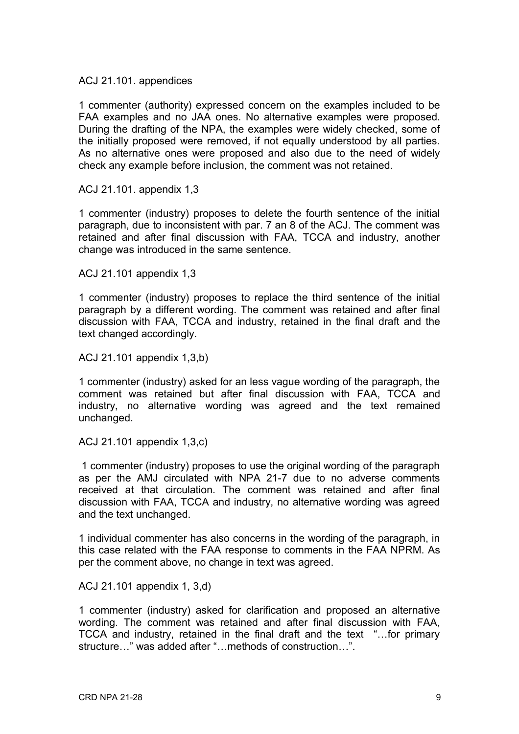ACJ 21.101. appendices

1 commenter (authority) expressed concern on the examples included to be FAA examples and no JAA ones. No alternative examples were proposed. During the drafting of the NPA, the examples were widely checked, some of the initially proposed were removed, if not equally understood by all parties. As no alternative ones were proposed and also due to the need of widely check any example before inclusion, the comment was not retained.

ACJ 21.101. appendix 1,3

1 commenter (industry) proposes to delete the fourth sentence of the initial paragraph, due to inconsistent with par. 7 an 8 of the ACJ. The comment was retained and after final discussion with FAA, TCCA and industry, another change was introduced in the same sentence.

ACJ 21.101 appendix 1,3

1 commenter (industry) proposes to replace the third sentence of the initial paragraph by a different wording. The comment was retained and after final discussion with FAA, TCCA and industry, retained in the final draft and the text changed accordingly.

ACJ 21.101 appendix 1,3,b)

1 commenter (industry) asked for an less vague wording of the paragraph, the comment was retained but after final discussion with FAA, TCCA and industry, no alternative wording was agreed and the text remained unchanged.

ACJ 21.101 appendix 1,3,c)

1 commenter (industry) proposes to use the original wording of the paragraph as per the AMJ circulated with NPA 21-7 due to no adverse comments received at that circulation. The comment was retained and after final discussion with FAA, TCCA and industry, no alternative wording was agreed and the text unchanged.

1 individual commenter has also concerns in the wording of the paragraph, in this case related with the FAA response to comments in the FAA NPRM. As per the comment above, no change in text was agreed.

ACJ 21.101 appendix 1, 3,d)

1 commenter (industry) asked for clarification and proposed an alternative wording. The comment was retained and after final discussion with FAA, TCCA and industry, retained in the final draft and the text "…for primary structure…" was added after "…methods of construction…".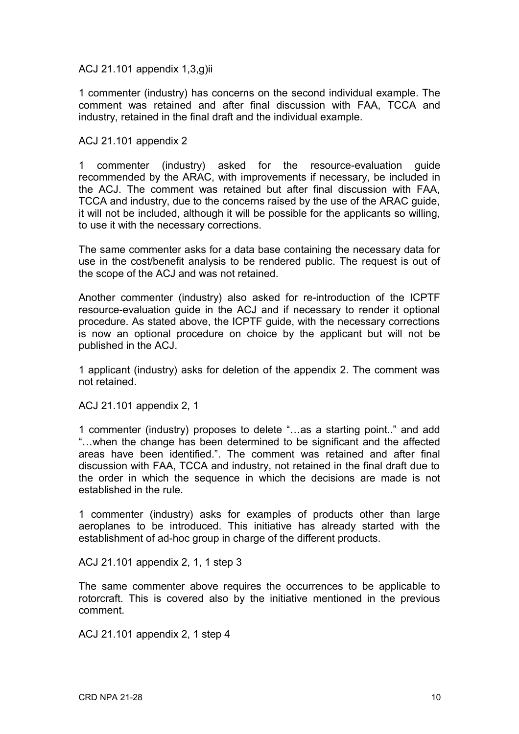ACJ 21.101 appendix 1,3,g)ii

1 commenter (industry) has concerns on the second individual example. The comment was retained and after final discussion with FAA, TCCA and industry, retained in the final draft and the individual example.

ACJ 21.101 appendix 2

1 commenter (industry) asked for the resource-evaluation guide recommended by the ARAC, with improvements if necessary, be included in the ACJ. The comment was retained but after final discussion with FAA, TCCA and industry, due to the concerns raised by the use of the ARAC guide, it will not be included, although it will be possible for the applicants so willing, to use it with the necessary corrections.

The same commenter asks for a data base containing the necessary data for use in the cost/benefit analysis to be rendered public. The request is out of the scope of the ACJ and was not retained.

Another commenter (industry) also asked for re-introduction of the ICPTF resource-evaluation guide in the ACJ and if necessary to render it optional procedure. As stated above, the ICPTF guide, with the necessary corrections is now an optional procedure on choice by the applicant but will not be published in the ACJ.

1 applicant (industry) asks for deletion of the appendix 2. The comment was not retained.

ACJ 21.101 appendix 2, 1

1 commenter (industry) proposes to delete "…as a starting point.." and add "…when the change has been determined to be significant and the affected areas have been identified.". The comment was retained and after final discussion with FAA, TCCA and industry, not retained in the final draft due to the order in which the sequence in which the decisions are made is not established in the rule.

1 commenter (industry) asks for examples of products other than large aeroplanes to be introduced. This initiative has already started with the establishment of ad-hoc group in charge of the different products.

ACJ 21.101 appendix 2, 1, 1 step 3

The same commenter above requires the occurrences to be applicable to rotorcraft. This is covered also by the initiative mentioned in the previous comment.

ACJ 21.101 appendix 2, 1 step 4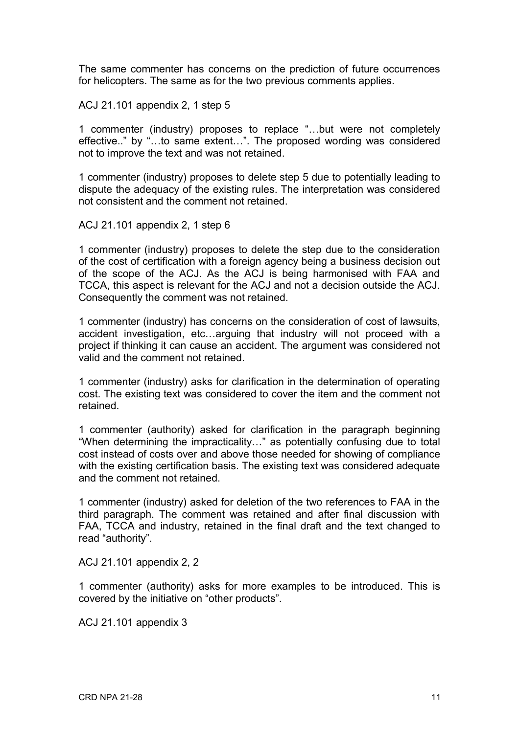The same commenter has concerns on the prediction of future occurrences for helicopters. The same as for the two previous comments applies.

ACJ 21.101 appendix 2, 1 step 5

1 commenter (industry) proposes to replace "…but were not completely effective.." by "…to same extent…". The proposed wording was considered not to improve the text and was not retained.

1 commenter (industry) proposes to delete step 5 due to potentially leading to dispute the adequacy of the existing rules. The interpretation was considered not consistent and the comment not retained.

ACJ 21.101 appendix 2, 1 step 6

1 commenter (industry) proposes to delete the step due to the consideration of the cost of certification with a foreign agency being a business decision out of the scope of the ACJ. As the ACJ is being harmonised with FAA and TCCA, this aspect is relevant for the ACJ and not a decision outside the ACJ. Consequently the comment was not retained.

1 commenter (industry) has concerns on the consideration of cost of lawsuits, accident investigation, etc…arguing that industry will not proceed with a project if thinking it can cause an accident. The argument was considered not valid and the comment not retained.

1 commenter (industry) asks for clarification in the determination of operating cost. The existing text was considered to cover the item and the comment not retained.

1 commenter (authority) asked for clarification in the paragraph beginning "When determining the impracticality…" as potentially confusing due to total cost instead of costs over and above those needed for showing of compliance with the existing certification basis. The existing text was considered adequate and the comment not retained.

1 commenter (industry) asked for deletion of the two references to FAA in the third paragraph. The comment was retained and after final discussion with FAA, TCCA and industry, retained in the final draft and the text changed to read "authority".

ACJ 21.101 appendix 2, 2

1 commenter (authority) asks for more examples to be introduced. This is covered by the initiative on "other products".

ACJ 21.101 appendix 3